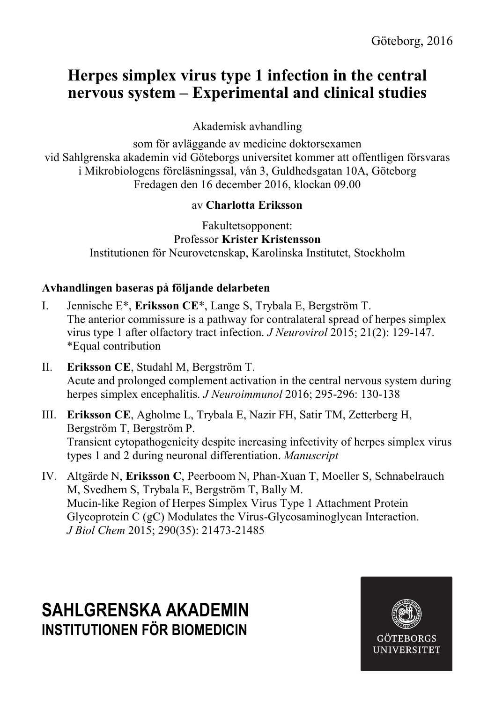# **Herpes simplex virus type 1 infection in the central nervous system – Experimental and clinical studies**

Akademisk avhandling

som för avläggande av medicine doktorsexamen vid Sahlgrenska akademin vid Göteborgs universitet kommer att offentligen försvaras i Mikrobiologens föreläsningssal, vån 3, Guldhedsgatan 10A, Göteborg Fredagen den 16 december 2016, klockan 09.00

### av **Charlotta Eriksson**

Fakultetsopponent: Professor **Krister Kristensson** Institutionen för Neurovetenskap, Karolinska Institutet, Stockholm

## **Avhandlingen baseras på följande delarbeten**

- I. Jennische E\*, **Eriksson CE**\*, Lange S, Trybala E, Bergström T. The anterior commissure is a pathway for contralateral spread of herpes simplex virus type 1 after olfactory tract infection. *J Neurovirol* 2015; 21(2): 129-147. \*Equal contribution
- II. **Eriksson CE**, Studahl M, Bergström T. Acute and prolonged complement activation in the central nervous system during herpes simplex encephalitis. *J Neuroimmunol* 2016; 295-296: 130-138
- III. **Eriksson CE**, Agholme L, Trybala E, Nazir FH, Satir TM, Zetterberg H, Bergström T, Bergström P. Transient cytopathogenicity despite increasing infectivity of herpes simplex virus types 1 and 2 during neuronal differentiation. *Manuscript*
- IV. Altgärde N, **Eriksson C**, Peerboom N, Phan-Xuan T, Moeller S, Schnabelrauch M, Svedhem S, Trybala E, Bergström T, Bally M. Mucin-like Region of Herpes Simplex Virus Type 1 Attachment Protein Glycoprotein C (gC) Modulates the Virus-Glycosaminoglycan Interaction. *J Biol Chem* 2015; 290(35): 21473-21485

# **SAHLGRENSKA AKADEMIN INSTITUTIONEN FÖR BIOMEDICIN**